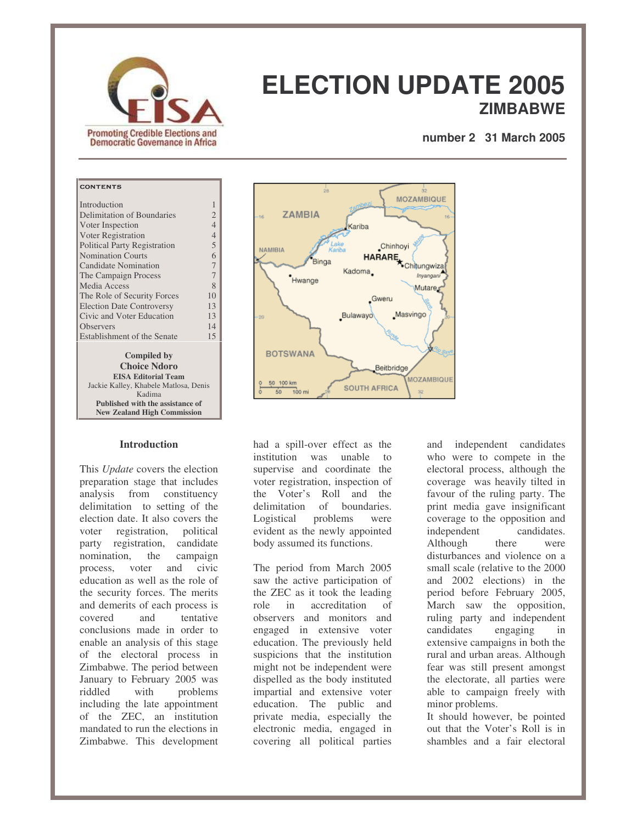

# **ELECTION UPDATE 2005 ZIMBABWE**

**number 2 31 March 2005**

## CONTENTS

| Introduction                     | 1              |
|----------------------------------|----------------|
| Delimitation of Boundaries       | 2              |
| Voter Inspection                 | $\overline{4}$ |
| Voter Registration               | $\overline{4}$ |
| Political Party Registration     | 5              |
| <b>Nomination Courts</b>         | 6              |
| Candidate Nomination             | 7              |
| The Campaign Process             | 7              |
| Media Access                     | 8              |
| The Role of Security Forces      | 10             |
| <b>Election Date Controversy</b> | 13             |
| Civic and Voter Education        | 13             |
| <b>Observers</b>                 | 14             |
| Establishment of the Senate      | 15             |
| <b>Compiled by</b>               |                |

**Choice Ndoro EISA Editorial Team** Jackie Kalley, Khabele Matlosa, Denis Kadima **Published with the assistance of New Zealand High Commission**

#### **Introduction**

This *Update* covers the election preparation stage that includes analysis from constituency delimitation to setting of the election date. It also covers the voter registration, political party registration, candidate nomination, the campaign process, voter and civic education as well as the role of the security forces. The merits and demerits of each process is covered and tentative conclusions made in order to enable an analysis of this stage of the electoral process in Zimbabwe. The period between January to February 2005 was riddled with problems including the late appointment of the ZEC, an institution mandated to run the elections in Zimbabwe. This development



had a spill-over effect as the institution was unable to supervise and coordinate the voter registration, inspection of the Voter's Roll and the delimitation of boundaries Logistical problems were evident as the newly appointed body assumed its functions.

The period from March 2005 saw the active participation of the ZEC as it took the leading role in accreditation of observers and monitors and engaged in extensive voter education. The previously held suspicions that the institution might not be independent were dispelled as the body instituted impartial and extensive voter education. The public and private media, especially the electronic media, engaged in covering all political parties

and independent candidates who were to compete in the electoral process, although the coverage was heavily tilted in favour of the ruling party. The print media gave insignificant coverage to the opposition and<br>independent candidates. independent Although there were disturbances and violence on a small scale (relative to the 2000 and 2002 elections) in the period before February 2005, March saw the opposition, ruling party and independent candidates engaging in extensive campaigns in both the rural and urban areas. Although fear was still present amongst the electorate, all parties were able to campaign freely with minor problems.

It should however, be pointed out that the Voter's Roll is in shambles and a fair electoral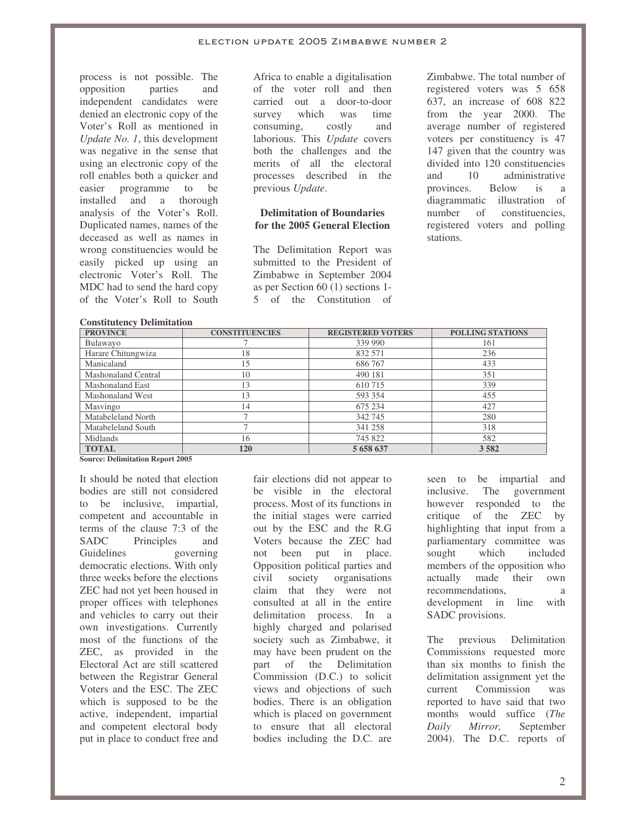process is not possible. The opposition parties and independent candidates were denied an electronic copy of the Voter's Roll as mentioned in *Update No. 1*, this development was negative in the sense that using an electronic copy of the roll enables both a quicker and<br>easier programme to be easier programme to be installed and a thorough analysis of the Voter's Roll. Duplicated names, names of the deceased as well as names in wrong constituencies would be easily picked up using an electronic Voter's Roll. The MDC had to send the hard copy of the Voter's Roll to South

Africa to enable a digitalisation of the voter roll and then carried out a door-to-door<br>survey which was time survey which was consuming, costly and laborious. This *Update* covers both the challenges and the merits of all the electoral processes described in the previous *Update*.

#### **Delimitation of Boundaries for the 2005 General Election**

The Delimitation Report was submitted to the President of Zimbabwe in September 2004 as per Section 60 (1) sections 1- 5 of the Constitution of Zimbabwe. The total number of registered voters was 5 658 637, an increase of 608 822 from the year 2000. The average number of registered voters per constituency is 47 147 given that the country was divided into 120 constituencies and 10 administrative provinces. Below is a diagrammatic illustration of number of constituencies, registered voters and polling stations.

| <b>Constitutency Delimitation</b> |                       |                          |                         |  |  |
|-----------------------------------|-----------------------|--------------------------|-------------------------|--|--|
| <b>PROVINCE</b>                   | <b>CONSTITUENCIES</b> | <b>REGISTERED VOTERS</b> | <b>POLLING STATIONS</b> |  |  |
| Bulawayo                          |                       | 339 990                  | 161                     |  |  |
| Harare Chitungwiza                | 18                    | 832 571                  | 236                     |  |  |
| Manicaland                        | 15                    | 686767                   | 433                     |  |  |
| Mashonaland Central               | 10                    | 490 181                  | 351                     |  |  |
| <b>Mashonaland East</b>           | 13                    | 610 715                  | 339                     |  |  |
| Mashonaland West                  | 13                    | 593 354                  | 455                     |  |  |
| Masvingo                          | 14                    | 675 234                  | 427                     |  |  |
| Matabeleland North                |                       | 342 745                  | 280                     |  |  |
| Matabeleland South                |                       | 341 258                  | 318                     |  |  |
| Midlands                          | 16                    | 745 822                  | 582                     |  |  |
| <b>TOTAL</b>                      | 120                   | 5 658 637                | 3 5 8 2                 |  |  |

**Source: Delimitation Report 2005**

It should be noted that election bodies are still not considered to be inclusive, impartial, competent and accountable in terms of the clause 7:3 of the SADC Principles and Guidelines governing democratic elections. With only three weeks before the elections ZEC had not yet been housed in proper offices with telephones and vehicles to carry out their own investigations. Currently most of the functions of the ZEC, as provided in the Electoral Act are still scattered between the Registrar General Voters and the ESC. The ZEC which is supposed to be the active, independent, impartial and competent electoral body put in place to conduct free and

fair elections did not appear to be visible in the electoral process. Most of its functions in the initial stages were carried out by the ESC and the R.G Voters because the ZEC had not been put in place. Opposition political parties and civil society organisations claim that they were not consulted at all in the entire delimitation process. In a highly charged and polarised society such as Zimbabwe, it may have been prudent on the part of the Delimitation Commission (D.C.) to solicit views and objections of such bodies. There is an obligation which is placed on government to ensure that all electoral bodies including the D.C. are

seen to be impartial and inclusive. The government however responded to the critique of the ZEC by highlighting that input from a parliamentary committee was sought which included members of the opposition who actually made their own recommendations. a development in line with SADC provisions.

The previous Delimitation Commissions requested more than six months to finish the delimitation assignment yet the current Commission was reported to have said that two months would suffice (*The Daily Mirror,* September 2004). The D.C. reports of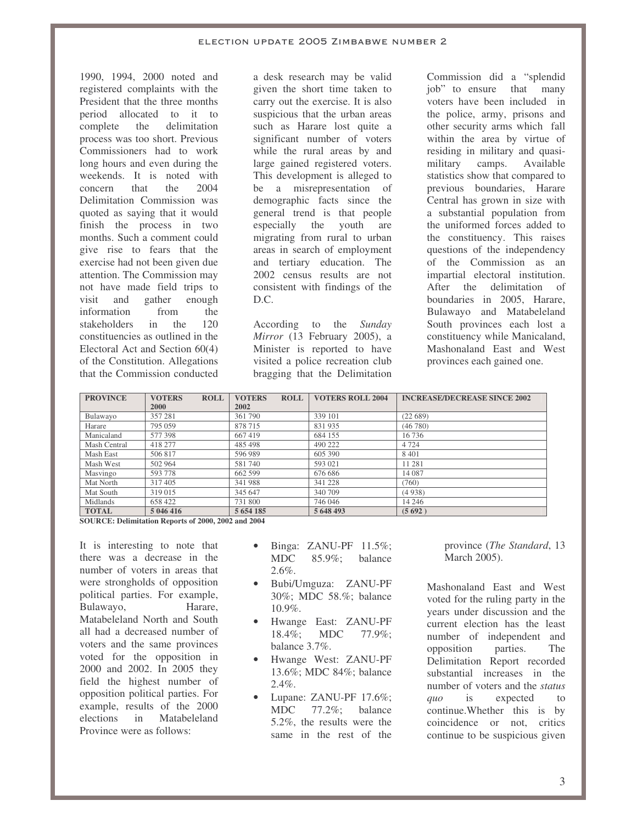1990, 1994, 2000 noted and registered complaints with the President that the three months period allocated to it to complete the delimitation process was too short. Previous Commissioners had to work long hours and even during the weekends. It is noted with<br>concern that the 2004 concern Delimitation Commission was quoted as saying that it would finish the process in two months. Such a comment could give rise to fears that the exercise had not been given due attention. The Commission may not have made field trips to visit and gather enough information from the stakeholders in the 120 constituencies as outlined in the Electoral Act and Section 60(4) of the Constitution. Allegations that the Commission conducted

a desk research may be valid given the short time taken to carry out the exercise. It is also suspicious that the urban areas such as Harare lost quite a significant number of voters while the rural areas by and large gained registered voters. This development is alleged to be a misrepresentation of demographic facts since the general trend is that people especially the youth are migrating from rural to urban areas in search of employment and tertiary education. The 2002 census results are not consistent with findings of the D.C.

According to the *Sunday Mirror* (13 February 2005), a Minister is reported to have visited a police recreation club bragging that the Delimitation Commission did a "splendid job" to ensure that many voters have been included in the police, army, prisons and other security arms which fall within the area by virtue of residing in military and quasimilitary camps. Available statistics show that compared to previous boundaries, Harare Central has grown in size with a substantial population from the uniformed forces added to the constituency. This raises questions of the independency of the Commission as an impartial electoral institution. After the delimitation of boundaries in 2005, Harare, Bulawayo and Matabeleland South provinces each lost a constituency while Manicaland, Mashonaland East and West provinces each gained one.

| <b>PROVINCE</b> | <b>VOTERS</b><br><b>ROLL</b> | <b>VOTERS</b><br><b>ROLL</b> | <b>VOTERS ROLL 2004</b> | <b>INCREASE/DECREASE SINCE 2002</b> |
|-----------------|------------------------------|------------------------------|-------------------------|-------------------------------------|
|                 | 2000                         | 2002                         |                         |                                     |
| Bulawayo        | 357 281                      | 361790                       | 339 101                 | (22689)                             |
| Harare          | 795 059                      | 878715                       | 831935                  | (46780)                             |
| Manicaland      | 577 398                      | 667419                       | 684 155                 | 16736                               |
| Mash Central    | 418 277                      | 485 498                      | 490 222                 | 4 7 2 4                             |
| Mash East       | 506817                       | 596 989                      | 605 390                 | 8 4 0 1                             |
| Mash West       | 502 964                      | 581740                       | 593 021                 | 11 281                              |
| Masvingo        | 593 778                      | 662 599                      | 676 686                 | 14 087                              |
| Mat North       | 317405                       | 341988                       | 341 228                 | (760)                               |
| Mat South       | 319 015                      | 345 647                      | 340 709                 | (4938)                              |
| Midlands        | 658 422                      | 731 800                      | 746 046                 | 14 2 4 6                            |
| <b>TOTAL</b>    | 5 046 416                    | 5 654 185                    | 5 648 493               | (5692)                              |

**SOURCE: Delimitation Reports of 2000, 2002 and 2004**

It is interesting to note that there was a decrease in the number of voters in areas that were strongholds of opposition political parties. For example,<br>Bulawayo. Harare. Bulawayo, Matabeleland North and South all had a decreased number of voters and the same provinces voted for the opposition in 2000 and 2002. In 2005 they field the highest number of opposition political parties. For example, results of the 2000 elections in Matabeleland Province were as follows:

- Binga: ZANU-PF 11.5%; MDC 85.9%; balance 2.6%.
- Bubi/Umguza: ZANU-PF 30%; MDC 58.%; balance 10.9%.
- Hwange East: ZANU-PF 18.4%; MDC 77.9%; balance 3.7%.
- Hwange West: ZANU-PF 13.6%; MDC 84%; balance 2.4%.
- Lupane: ZANU-PF 17.6%; MDC 77.2%; balance 5.2%, the results were the same in the rest of the

province (*The Standard*, 13 March 2005).

Mashonaland East and West voted for the ruling party in the years under discussion and the current election has the least number of independent and opposition parties. The Delimitation Report recorded substantial increases in the number of voters and the *status quo* is expected to continue.Whether this is by coincidence or not, critics continue to be suspicious given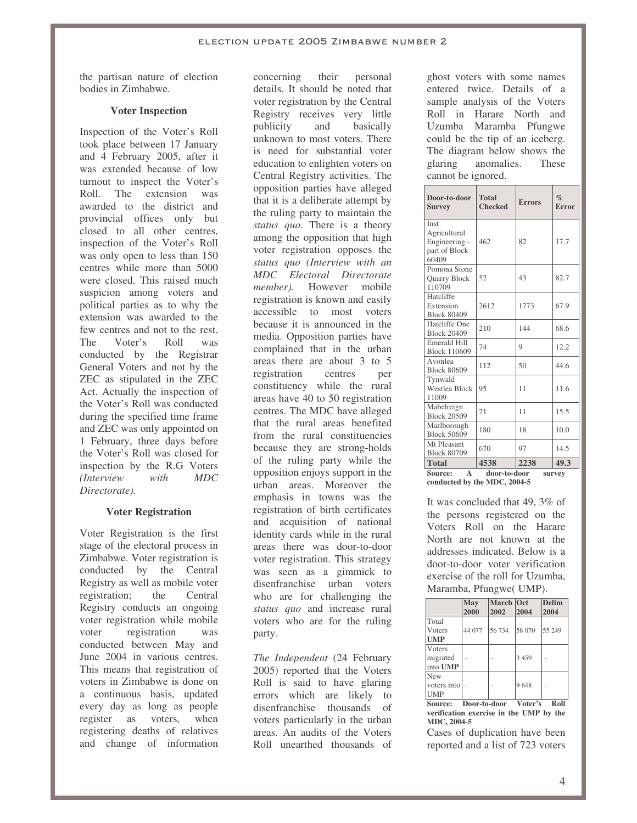the partisan nature of election bodies in Zimbabwe.

## **Voter Inspection**

Inspection of the Voter's Roll took place between 17 January and 4 February 2005, after it was extended because of low turnout to inspect the Voter's Roll. The extension was awarded to the district and provincial offices only but closed to all other centres, inspection of the Voter's Roll was only open to less than 150 centres while more than 5000 were closed. This raised much suspicion among voters and political parties as to why the extension was awarded to the few centres and not to the rest. The Voter's Roll was conducted by the Registrar General Voters and not by the ZEC as stipulated in the ZEC Act. Actually the inspection of the Voter's Roll was conducted during the specified time frame and ZEC was only appointed on 1 February, three days before the Voter's Roll was closed for inspection by the R.G Voters *(Interview with MDC Directorate).*

## **Voter Registration**

Voter Registration is the first stage of the electoral process in Zimbabwe. Voter registration is conducted by the Central Registry as well as mobile voter registration; the Central Registry conducts an ongoing voter registration while mobile voter registration was conducted between May and June 2004 in various centres. This means that registration of voters in Zimbabwe is done on a continuous basis, updated every day as long as people register as voters, when registering deaths of relatives and change of information

concerning their personal details. It should be noted that voter registration by the Central Registry receives very little publicity and basically unknown to most voters. There is need for substantial voter education to enlighten voters on Central Registry activities. The opposition parties have alleged that it is a deliberate attempt by the ruling party to maintain the *status quo*. There is a theory among the opposition that high voter registration opposes the *status quo (Interview with an MDC Electoral Directorate member).* However mobile registration is known and easily accessible to most voters because it is announced in the media. Opposition parties have complained that in the urban areas there are about 3 to 5 registration centres per constituency while the rural areas have 40 to 50 registration centres. The MDC have alleged that the rural areas benefited from the rural constituencies because they are strong-holds of the ruling party while the opposition enjoys support in the urban areas. Moreover the emphasis in towns was the registration of birth certificates and acquisition of national identity cards while in the rural areas there was door-to-door voter registration. This strategy was seen as a gimmick to disenfranchise urban voters who are for challenging the *status quo* and increase rural voters who are for the ruling party.

*The Independent* (24 February 2005) reported that the Voters Roll is said to have glaring errors which are likely to disenfranchise thousands of voters particularly in the urban areas. An audits of the Voters Roll unearthed thousands of

ghost voters with some names entered twice. Details of a sample analysis of the Voters Roll in Harare North and Uzumba Maramba Pfungwe could be the tip of an iceberg. The diagram below shows the glaring anomalies. These cannot be ignored.

| Door-to-door<br><b>Survey</b>                                   | <b>Total</b><br><b>Checked</b> | <b>Errors</b> | $\%$<br>Error |
|-----------------------------------------------------------------|--------------------------------|---------------|---------------|
| Inst<br>Agricultural<br>Engineering -<br>part of Block<br>60409 | 462                            | 82            | 17.7          |
| Pomona Stone<br>Quarry Block<br>110709                          | 52                             | 43            | 82.7          |
| Hatcliffe<br>Extension<br><b>Block 80409</b>                    | 2612                           | 1773          | 67.9          |
| Hatcliffe One<br><b>Block 20409</b>                             | 210                            | 144           | 68.6          |
| Emerald Hill<br><b>Block 110609</b>                             | 74                             | 9             | 12.2          |
| Avonlea<br><b>Block 80609</b>                                   | 112                            | 50            | 44.6          |
| Tynwald<br><b>Westlea Block</b><br>11009                        | 95                             | 11            | 11.6          |
| Mabelreign<br><b>Block 20509</b>                                | 71                             | 11            | 15.5          |
| Marlborough<br><b>Block 50609</b>                               | 180                            | 18            | 10.0          |
| Mt Pleasant<br><b>Block 80709</b>                               | 670                            | 97            | 14.5          |
| <b>Total</b>                                                    | 4538                           | 2238          | 49.3          |
| Source:<br>$\mathbf{A}$<br>door-to-door<br>survey               |                                |               |               |

**conducted by the MDC, 2004-5**

It was concluded that 49, 3% of the persons registered on the Voters Roll on the Harare North are not known at the addresses indicated. Below is a door-to-door voter verification exercise of the roll for Uzumba, Maramba, Pfungwe( UMP).

|                                       | May<br>2000  | March Oct<br>2002 | 2004                             | <b>Delim</b><br>2004 |
|---------------------------------------|--------------|-------------------|----------------------------------|----------------------|
| Total<br><b>V</b> oters               | 44 077       | 56 734            | 58 070                           | 55 249               |
| <b>UMP</b>                            |              |                   |                                  |                      |
| Voters                                |              |                   |                                  |                      |
| migrated                              |              |                   | 3 4 5 9                          |                      |
| into UMP                              |              |                   |                                  |                      |
| New                                   |              |                   |                                  |                      |
| voters into                           |              |                   | 9648                             |                      |
| <b>UMP</b>                            |              |                   |                                  |                      |
| $C_{\alpha\mu\nu\alpha\alpha\lambda}$ | Doon to doon |                   | $\mathbf{V}$ otov $\mathbf{V}$ o | D all                |

**Door-to-door Voter' verification exercise in the UMP by the MDC, 2004-5**

Cases of duplication have been reported and a list of 723 voters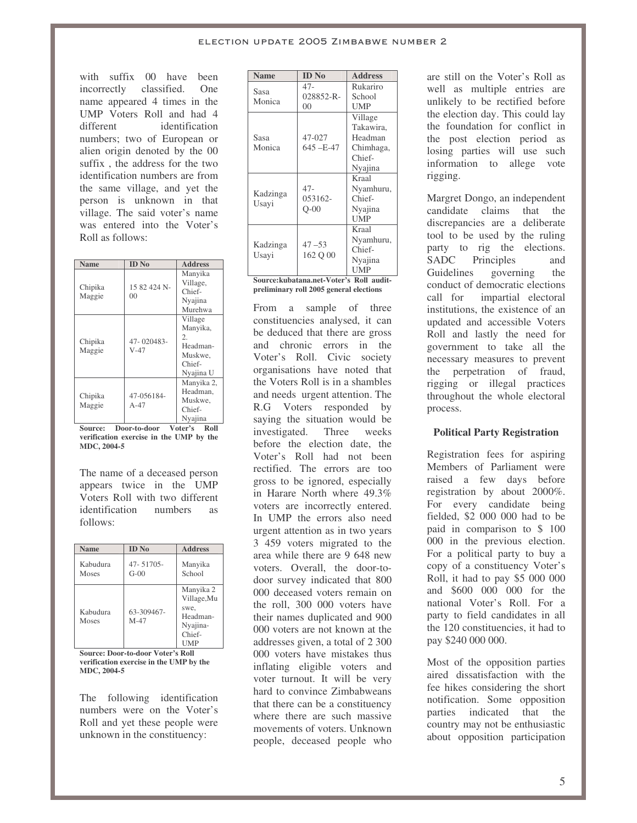with suffix 00 have been incorrectly classified. One name appeared 4 times in the UMP Voters Roll and had 4 different identification numbers; two of European or alien origin denoted by the 00 suffix , the address for the two identification numbers are from the same village, and yet the person is unknown in that village. The said voter's name was entered into the Voter's Roll as follows:

| Name              | <b>ID</b> No                   | <b>Address</b>                                                          |
|-------------------|--------------------------------|-------------------------------------------------------------------------|
| Chipika<br>Maggie | 15 82 424 N-<br>0 <sup>0</sup> | Manyika<br>Village,<br>Chief-<br>Nyajina<br>Murehwa                     |
| Chipika<br>Maggie | 47-020483-<br>$V-47$           | Village<br>Manyika,<br>2.<br>Headman-<br>Muskwe.<br>Chief-<br>Nyajina U |
| Chipika<br>Maggie | 47-056184-<br>$A-47$           | Manyika 2,<br>Headman.<br>Muskwe.<br>Chief-<br>Nyajina                  |

**Source: Door-to-door Voter's Roll verification exercise in the UMP by the MDC, 2004-5**

The name of a deceased person appears twice in the UMP Voters Roll with two different identification numbers as follows:

| <b>Name</b>       | <b>ID</b> No         | <b>Address</b>                                                                   |
|-------------------|----------------------|----------------------------------------------------------------------------------|
| Kabudura<br>Moses | 47-51705-<br>$G-00$  | Manyika<br>School                                                                |
| Kabudura<br>Moses | 63-309467-<br>$M-47$ | Manyika 2<br>Village, Mu<br>swe.<br>Headman-<br>Nyajina-<br>Chief-<br><b>UMP</b> |

**Source: Door-to-door Voter's Roll verification exercise in the UMP by the MDC, 2004-5**

The following identification numbers were on the Voter's Roll and yet these people were unknown in the constituency:

| <b>Name</b>                                                 | <b>ID</b> No                          | <b>Address</b>                                                                         |
|-------------------------------------------------------------|---------------------------------------|----------------------------------------------------------------------------------------|
| Sasa<br>Monica                                              | 47-<br>028852-R-<br>0 <sup>0</sup>    | Rukariro<br>School<br>UMP                                                              |
| Sasa<br>Monica                                              | 47-027<br>645-E-47                    | Village<br>Takawira,<br>Headman<br>Chimhaga,<br>Chief-<br>Nyajina                      |
| Kadzinga<br>Usayi                                           | $47 -$<br>053162-<br>$O-00$           | Kraal<br>Nyamhuru,<br>Chief-<br>Nyajina<br><b>UMP</b>                                  |
| Kadzinga<br>Usayi<br>$\sim$<br>$\sim$ 1.0 $\sim$ 1.0 $\sim$ | $47 - 53$<br>162 O 00<br>$-4.97 - 4.$ | Kraal<br>Nyamhuru,<br>Chief-<br>Nyajina<br><b>UMP</b><br>$D$ , $H$ , $=$<br>32.4<br>۰. |

**Source:kubatana.net-Voter's Roll auditpreliminary roll 2005 general elections**

From a sample of three constituencies analysed, it can be deduced that there are gross and chronic errors in the Voter's Roll. Civic society organisations have noted that the Voters Roll is in a shambles and needs urgent attention. The R.G Voters responded by saying the situation would be investigated. Three weeks before the election date, the Voter's Roll had not been rectified. The errors are too gross to be ignored, especially in Harare North where 49.3% voters are incorrectly entered. In UMP the errors also need urgent attention as in two years 3 459 voters migrated to the area while there are 9 648 new voters. Overall, the door-todoor survey indicated that 800 000 deceased voters remain on the roll, 300 000 voters have their names duplicated and 900 000 voters are not known at the addresses given, a total of 2 300 000 voters have mistakes thus inflating eligible voters and voter turnout. It will be very hard to convince Zimbabweans that there can be a constituency where there are such massive movements of voters. Unknown people, deceased people who are still on the Voter's Roll as well as multiple entries are unlikely to be rectified before the election day. This could lay the foundation for conflict in the post election period as losing parties will use such information to allege vote rigging.

Margret Dongo, an independent candidate claims that the discrepancies are a deliberate tool to be used by the ruling party to rig the elections. SADC Principles and Guidelines governing the conduct of democratic elections call for impartial electoral institutions, the existence of an updated and accessible Voters Roll and lastly the need for government to take all the necessary measures to prevent the perpetration of fraud, rigging or illegal practices throughout the whole electoral process.

## **Political Party Registration**

Registration fees for aspiring Members of Parliament were raised a few days before registration by about 2000%. For every candidate being fielded, \$2 000 000 had to be paid in comparison to \$ 100 000 in the previous election. For a political party to buy a copy of a constituency Voter's Roll, it had to pay \$5 000 000 and \$600 000 000 for the national Voter's Roll. For a party to field candidates in all the 120 constituencies, it had to pay \$240 000 000.

Most of the opposition parties aired dissatisfaction with the fee hikes considering the short notification. Some opposition parties indicated that the country may not be enthusiastic about opposition participation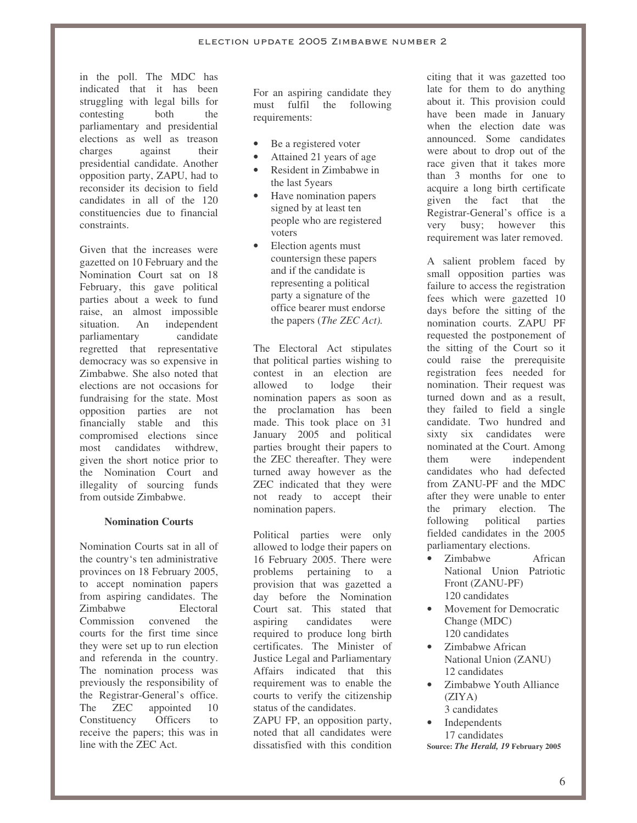in the poll. The MDC has indicated that it has been struggling with legal bills for contesting both the parliamentary and presidential elections as well as treason charges against their presidential candidate. Another opposition party, ZAPU, had to reconsider its decision to field candidates in all of the 120 constituencies due to financial constraints.

Given that the increases were gazetted on 10 February and the Nomination Court sat on 18 February, this gave political parties about a week to fund raise, an almost impossible situation. An independent parliamentary candidate regretted that representative democracy was so expensive in Zimbabwe. She also noted that elections are not occasions for fundraising for the state. Most opposition parties are not financially stable and this compromised elections since most candidates withdrew, given the short notice prior to the Nomination Court and illegality of sourcing funds from outside Zimbabwe.

#### **Nomination Courts**

Nomination Courts sat in all of the country's ten administrative provinces on 18 February 2005, to accept nomination papers from aspiring candidates. The Zimbabwe Electoral Commission convened the courts for the first time since they were set up to run election and referenda in the country. The nomination process was previously the responsibility of the Registrar-General's office. The **ZEC** appointed 10 Constituency Officers to receive the papers; this was in line with the ZEC Act.

For an aspiring candidate they must fulfil the following requirements:

- Be a registered voter
- Attained 21 years of age
- Resident in Zimbabwe in the last 5years
- Have nomination papers signed by at least ten people who are registered voters
- Election agents must countersign these papers and if the candidate is representing a political party a signature of the office bearer must endorse the papers (*The ZEC Act).*

The Electoral Act stipulates that political parties wishing to contest in an election are allowed to lodge their nomination papers as soon as the proclamation has been made. This took place on 31 January 2005 and political parties brought their papers to the ZEC thereafter. They were turned away however as the ZEC indicated that they were not ready to accept their nomination papers.

Political parties were only allowed to lodge their papers on 16 February 2005. There were problems pertaining to a provision that was gazetted a day before the Nomination Court sat. This stated that aspiring candidates were required to produce long birth certificates. The Minister of Justice Legal and Parliamentary Affairs indicated that this requirement was to enable the courts to verify the citizenship status of the candidates.

ZAPU FP, an opposition party, noted that all candidates were dissatisfied with this condition citing that it was gazetted too late for them to do anything about it. This provision could have been made in January when the election date was announced. Some candidates were about to drop out of the race given that it takes more than 3 months for one to acquire a long birth certificate given the fact that the Registrar-General's office is a very busy; however this requirement was later removed.

A salient problem faced by small opposition parties was failure to access the registration fees which were gazetted 10 days before the sitting of the nomination courts. ZAPU PF requested the postponement of the sitting of the Court so it could raise the prerequisite registration fees needed for nomination. Their request was turned down and as a result, they failed to field a single candidate. Two hundred and sixty six candidates were nominated at the Court. Among them were independent candidates who had defected from ZANU-PF and the MDC after they were unable to enter the primary election. The following political parties fielded candidates in the 2005 parliamentary elections.

- Zimbabwe African National Union Patriotic Front (ZANU-PF) 120 candidates
- Movement for Democratic Change (MDC) 120 candidates
- Zimbabwe African National Union (ZANU) 12 candidates
- Zimbabwe Youth Alliance (ZIYA) 3 candidates
- **Independents** 17 candidates **Source:** *The Herald, 19* **February 2005**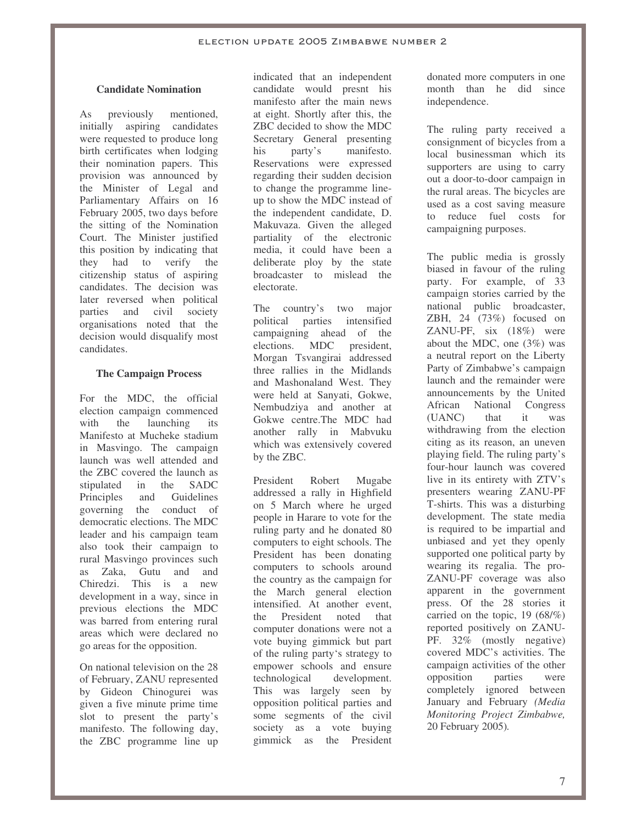## **Candidate Nomination**

As previously mentioned, initially aspiring candidates were requested to produce long birth certificates when lodging their nomination papers. This provision was announced by the Minister of Legal and Parliamentary Affairs on 16 February 2005, two days before the sitting of the Nomination Court. The Minister justified this position by indicating that they had to verify the citizenship status of aspiring candidates. The decision was later reversed when political parties and civil society organisations noted that the decision would disqualify most candidates.

## **The Campaign Process**

For the MDC, the official election campaign commenced with the launching its Manifesto at Mucheke stadium in Masvingo. The campaign launch was well attended and the ZBC covered the launch as stipulated in the SADC Principles and Guidelines governing the conduct of democratic elections. The MDC leader and his campaign team also took their campaign to rural Masvingo provinces such as Zaka, Gutu and and Chiredzi. This is a new development in a way, since in previous elections the MDC was barred from entering rural areas which were declared no go areas for the opposition.

On national television on the 28 of February, ZANU represented by Gideon Chinogurei was given a five minute prime time slot to present the party's manifesto. The following day, the ZBC programme line up indicated that an independent candidate would presnt his manifesto after the main news at eight. Shortly after this, the ZBC decided to show the MDC Secretary General presenting his party's manifesto. Reservations were expressed regarding their sudden decision to change the programme lineup to show the MDC instead of the independent candidate, D. Makuvaza. Given the alleged partiality of the electronic media, it could have been a deliberate ploy by the state broadcaster to mislead the electorate.

The country's two major political parties intensified campaigning ahead of the elections. MDC president, Morgan Tsvangirai addressed three rallies in the Midlands and Mashonaland West. They were held at Sanyati, Gokwe, Nembudziya and another at Gokwe centre.The MDC had another rally in Mabvuku which was extensively covered by the ZBC.

President Robert Mugabe addressed a rally in Highfield on 5 March where he urged people in Harare to vote for the ruling party and he donated 80 computers to eight schools. The President has been donating computers to schools around the country as the campaign for the March general election intensified. At another event, the President noted that computer donations were not a vote buying gimmick but part of the ruling party's strategy to empower schools and ensure technological development. This was largely seen by opposition political parties and some segments of the civil society as a vote buying gimmick as the President donated more computers in one month than he did since independence.

The ruling party received a consignment of bicycles from a local businessman which its supporters are using to carry out a door-to-door campaign in the rural areas. The bicycles are used as a cost saving measure to reduce fuel costs for campaigning purposes.

The public media is grossly biased in favour of the ruling party. For example, of 33 campaign stories carried by the national public broadcaster, ZBH, 24 (73%) focused on ZANU-PF, six (18%) were about the MDC, one (3%) was a neutral report on the Liberty Party of Zimbabwe's campaign launch and the remainder were announcements by the United African National Congress (UANC) that it was withdrawing from the election citing as its reason, an uneven playing field. The ruling party's four-hour launch was covered live in its entirety with ZTV's presenters wearing ZANU-PF T-shirts. This was a disturbing development. The state media is required to be impartial and unbiased and yet they openly supported one political party by wearing its regalia. The pro-ZANU-PF coverage was also apparent in the government press. Of the 28 stories it carried on the topic, 19 (68/%) reported positively on ZANU-PF. 32% (mostly negative) covered MDC's activities. The campaign activities of the other opposition parties were completely ignored between January and February *(Media Monitoring Project Zimbabwe,* 20 February 2005)*.*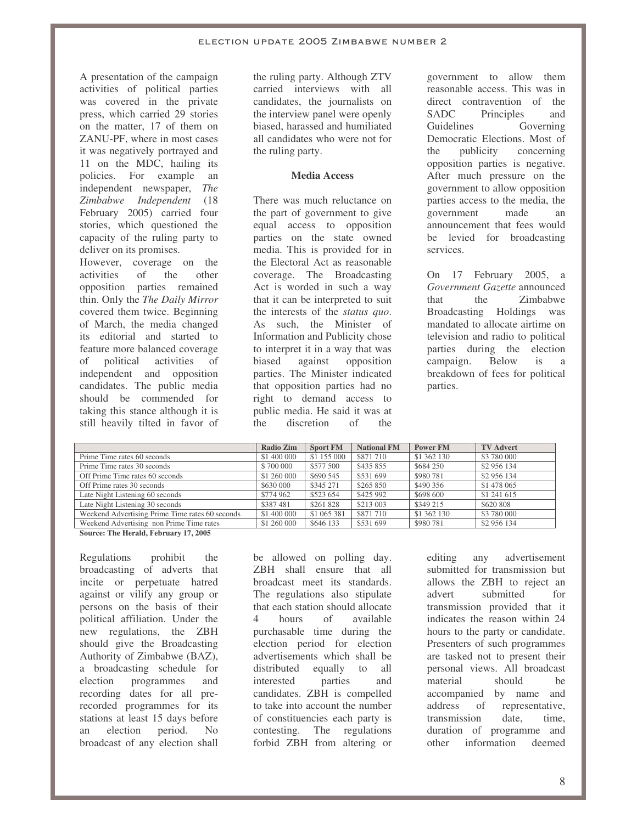A presentation of the campaign activities of political parties was covered in the private press, which carried 29 stories on the matter, 17 of them on ZANU-PF, where in most cases it was negatively portrayed and 11 on the MDC, hailing its policies. For example an independent newspaper, *The Zimbabwe Independent* (18 February 2005) carried four stories, which questioned the capacity of the ruling party to deliver on its promises.

However, coverage on the activities of the other opposition parties remained thin. Only the *The Daily Mirror* covered them twice. Beginning of March, the media changed its editorial and started to feature more balanced coverage of political activities of independent and opposition candidates. The public media should be commended for taking this stance although it is still heavily tilted in favor of

the ruling party. Although ZTV carried interviews with all candidates, the journalists on the interview panel were openly biased, harassed and humiliated all candidates who were not for the ruling party.

## **Media Access**

There was much reluctance on the part of government to give equal access to opposition parties on the state owned media. This is provided for in the Electoral Act as reasonable coverage. The Broadcasting Act is worded in such a way that it can be interpreted to suit the interests of the *status quo*. As such, the Minister of Information and Publicity chose to interpret it in a way that was biased against opposition parties. The Minister indicated that opposition parties had no right to demand access to public media. He said it was at the discretion of the

government to allow them reasonable access. This was in direct contravention of the<br>SADC Principles and Principles and Guidelines Governing Democratic Elections. Most of the publicity concerning opposition parties is negative. After much pressure on the government to allow opposition parties access to the media, the government made an announcement that fees would be levied for broadcasting services.

On 17 February 2005, a *Government Gazette* announced that the Zimbabwe Broadcasting Holdings was mandated to allocate airtime on television and radio to political parties during the election campaign. Below is a breakdown of fees for political parties.

|                                                 | <b>Radio Zim</b> | <b>Sport FM</b> | <b>National FM</b> | <b>Power FM</b> | <b>TV Advert</b> |
|-------------------------------------------------|------------------|-----------------|--------------------|-----------------|------------------|
| Prime Time rates 60 seconds                     | \$1 400 000      | \$1 155 000     | \$871 710          | \$1 362 130     | \$3 780 000      |
| Prime Time rates 30 seconds                     | \$700 000        | \$577 500       | \$435 855          | \$684 250       | \$2 956 134      |
| Off Prime Time rates 60 seconds                 | \$1 260 000      | \$690 545       | \$531 699          | \$980 781       | \$2 956 134      |
| Off Prime rates 30 seconds                      | \$630 000        | \$345 271       | \$265 850          | \$490 356       | \$1 478 065      |
| Late Night Listening 60 seconds                 | \$774 962        | \$523 654       | \$425 992          | \$698 600       | \$1 241 615      |
| Late Night Listening 30 seconds                 | \$387481         | \$261 828       | \$213 003          | \$349 215       | \$620 808        |
| Weekend Advertising Prime Time rates 60 seconds | \$1 400 000      | \$1 065 381     | \$871 710          | \$1 362 130     | \$3 780 000      |
| Weekend Advertising non Prime Time rates        | \$1 260 000      | \$646 133       | \$531 699          | \$980 781       | \$2 956 134      |

**Source: The Herald, February 17, 2005**

Regulations prohibit the broadcasting of adverts that incite or perpetuate hatred against or vilify any group or persons on the basis of their political affiliation. Under the new regulations, the ZBH should give the Broadcasting Authority of Zimbabwe (BAZ), a broadcasting schedule for election programmes and recording dates for all prerecorded programmes for its stations at least 15 days before an election period. No broadcast of any election shall

be allowed on polling day. ZBH shall ensure that all broadcast meet its standards. The regulations also stipulate that each station should allocate 4 hours of available purchasable time during the election period for election advertisements which shall be distributed equally to all interested parties and candidates. ZBH is compelled to take into account the number of constituencies each party is contesting. The regulations forbid ZBH from altering or

editing any advertisement submitted for transmission but allows the ZBH to reject an advert submitted for transmission provided that it indicates the reason within 24 hours to the party or candidate. Presenters of such programmes are tasked not to present their personal views. All broadcast material should be accompanied by name and address of representative, transmission date, time, duration of programme and other information deemed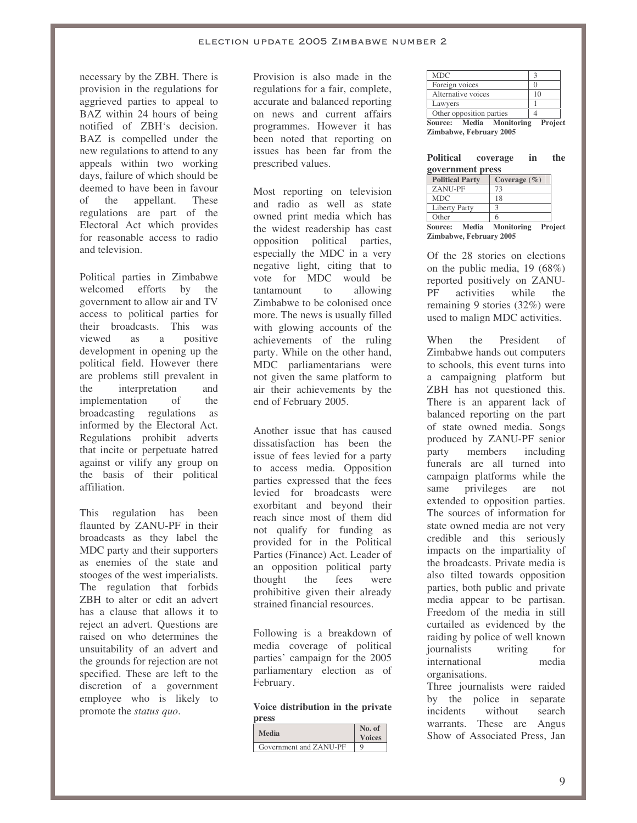necessary by the ZBH. There is provision in the regulations for aggrieved parties to appeal to BAZ within 24 hours of being notified of ZBH's decision. BAZ is compelled under the new regulations to attend to any appeals within two working days, failure of which should be deemed to have been in favour of the appellant. These regulations are part of the Electoral Act which provides for reasonable access to radio and television.

Political parties in Zimbabwe welcomed efforts by the government to allow air and TV access to political parties for their broadcasts. This was viewed as a positive development in opening up the political field. However there are problems still prevalent in the interpretation and implementation of the broadcasting regulations as informed by the Electoral Act. Regulations prohibit adverts that incite or perpetuate hatred against or vilify any group on the basis of their political affiliation.

This regulation has been flaunted by ZANU-PF in their broadcasts as they label the MDC party and their supporters as enemies of the state and stooges of the west imperialists. The regulation that forbids ZBH to alter or edit an advert has a clause that allows it to reject an advert. Questions are raised on who determines the unsuitability of an advert and the grounds for rejection are not specified. These are left to the discretion of a government employee who is likely to promote the *status quo*.

Provision is also made in the regulations for a fair, complete, accurate and balanced reporting on news and current affairs programmes. However it has been noted that reporting on issues has been far from the prescribed values.

Most reporting on television and radio as well as state owned print media which has the widest readership has cast opposition political parties, especially the MDC in a very negative light, citing that to vote for MDC would be tantamount to allowing Zimbabwe to be colonised once more. The news is usually filled with glowing accounts of the achievements of the ruling party. While on the other hand, MDC parliamentarians were not given the same platform to air their achievements by the end of February 2005.

Another issue that has caused dissatisfaction has been the issue of fees levied for a party to access media. Opposition parties expressed that the fees levied for broadcasts were exorbitant and beyond their reach since most of them did not qualify for funding as provided for in the Political Parties (Finance) Act. Leader of an opposition political party thought the fees were prohibitive given their already strained financial resources.

Following is a breakdown of media coverage of political parties' campaign for the 2005 parliamentary election as of February.

## **Voice distribution in the private**

| press                  |                         |
|------------------------|-------------------------|
| <b>Media</b>           | No. of<br><b>Voices</b> |
| Government and ZANU-PF |                         |

| <b>Source: Media Monitoring</b><br>Zimbabwe, February 2005 | Project |
|------------------------------------------------------------|---------|
| Other opposition parties                                   |         |
| Lawyers                                                    |         |
| Alternative voices                                         | 10      |
| Foreign voices                                             |         |
| <b>MDC</b>                                                 | 3       |
|                                                            |         |

| <b>Political</b> | coverage | in | the |
|------------------|----------|----|-----|
| government press |          |    |     |

| <b>Political Party</b>   | Coverage $(\% )$ |         |
|--------------------------|------------------|---------|
| ZANU-PF                  | 73               |         |
| <b>MDC</b>               | 18               |         |
| <b>Liberty Party</b>     |                  |         |
| Other                    | 6                |         |
| Source: Media Monitoring |                  | Project |
| Zimbabwe, February 2005  |                  |         |

Of the 28 stories on elections on the public media, 19 (68%) reported positively on ZANU-PF activities while the remaining 9 stories (32%) were

used to malign MDC activities.

When the President of Zimbabwe hands out computers to schools, this event turns into a campaigning platform but ZBH has not questioned this. There is an apparent lack of balanced reporting on the part of state owned media. Songs produced by ZANU-PF senior<br>party members including party members including funerals are all turned into campaign platforms while the same privileges are not extended to opposition parties. The sources of information for state owned media are not very credible and this seriously impacts on the impartiality of the broadcasts. Private media is also tilted towards opposition parties, both public and private media appear to be partisan. Freedom of the media in still curtailed as evidenced by the raiding by police of well known journalists writing for international media organisations.

Three journalists were raided by the police in separate incidents without search warrants. These are Angus Show of Associated Press, Jan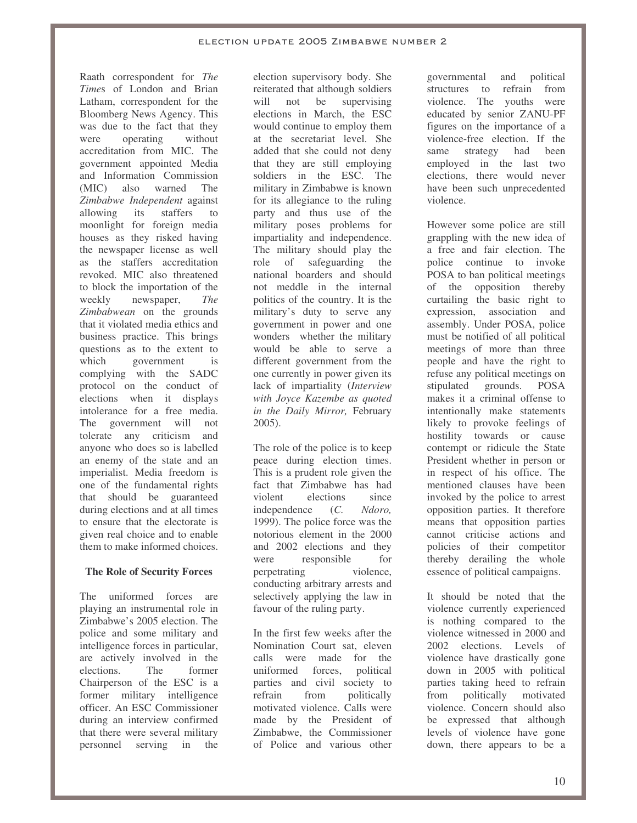Raath correspondent for *The Time*s of London and Brian Latham, correspondent for the Bloomberg News Agency. This was due to the fact that they were operating without accreditation from MIC. The government appointed Media and Information Commission (MIC) also warned The *Zimbabwe Independent* against allowing its staffers to moonlight for foreign media houses as they risked having the newspaper license as well as the staffers accreditation revoked. MIC also threatened to block the importation of the weekly newspaper, *The Zimbabwean* on the grounds that it violated media ethics and business practice. This brings questions as to the extent to which government is complying with the SADC protocol on the conduct of elections when it displays intolerance for a free media. The government will not tolerate any criticism and anyone who does so is labelled an enemy of the state and an imperialist. Media freedom is one of the fundamental rights that should be guaranteed during elections and at all times to ensure that the electorate is given real choice and to enable them to make informed choices.

## **The Role of Security Forces**

The uniformed forces are playing an instrumental role in Zimbabwe's 2005 election. The police and some military and intelligence forces in particular, are actively involved in the elections. The former Chairperson of the ESC is a former military intelligence officer. An ESC Commissioner during an interview confirmed that there were several military personnel serving in the election supervisory body. She reiterated that although soldiers will not be supervising elections in March, the ESC would continue to employ them at the secretariat level. She added that she could not deny that they are still employing soldiers in the ESC. The military in Zimbabwe is known for its allegiance to the ruling party and thus use of the military poses problems for impartiality and independence. The military should play the role of safeguarding the national boarders and should not meddle in the internal politics of the country. It is the military's duty to serve any government in power and one wonders whether the military would be able to serve a different government from the one currently in power given its lack of impartiality (*Interview with Joyce Kazembe as quoted in the Daily Mirror,* February 2005).

The role of the police is to keep peace during election times. This is a prudent role given the fact that Zimbabwe has had violent elections since independence (*C. Ndoro,* 1999). The police force was the notorious element in the 2000 and 2002 elections and they were responsible for perpetrating violence, conducting arbitrary arrests and selectively applying the law in favour of the ruling party.

In the first few weeks after the Nomination Court sat, eleven calls were made for the<br>uniformed forces, political uniformed forces, parties and civil society to refrain from politically motivated violence. Calls were made by the President of Zimbabwe, the Commissioner of Police and various other governmental and political structures to refrain from violence. The youths were educated by senior ZANU-PF figures on the importance of a violence-free election. If the same strategy had been employed in the last two elections, there would never have been such unprecedented violence.

However some police are still grappling with the new idea of a free and fair election. The police continue to invoke POSA to ban political meetings of the opposition thereby curtailing the basic right to expression, association and assembly. Under POSA, police must be notified of all political meetings of more than three people and have the right to refuse any political meetings on stipulated grounds. POSA makes it a criminal offense to intentionally make statements likely to provoke feelings of hostility towards or cause contempt or ridicule the State President whether in person or in respect of his office. The mentioned clauses have been invoked by the police to arrest opposition parties. It therefore means that opposition parties cannot criticise actions and policies of their competitor thereby derailing the whole essence of political campaigns.

It should be noted that the violence currently experienced is nothing compared to the violence witnessed in 2000 and 2002 elections. Levels of violence have drastically gone down in 2005 with political parties taking heed to refrain from politically motivated violence. Concern should also be expressed that although levels of violence have gone down, there appears to be a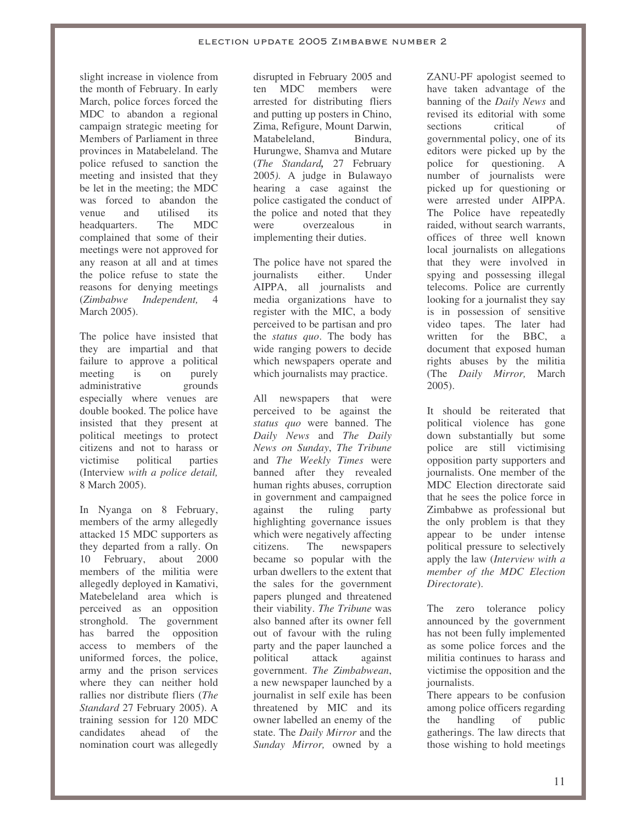slight increase in violence from the month of February. In early March, police forces forced the MDC to abandon a regional campaign strategic meeting for Members of Parliament in three provinces in Matabeleland. The police refused to sanction the meeting and insisted that they be let in the meeting; the MDC was forced to abandon the venue and utilised its headquarters. The MDC complained that some of their meetings were not approved for any reason at all and at times the police refuse to state the reasons for denying meetings (*Zimbabwe Independent,* 4 March 2005).

The police have insisted that they are impartial and that failure to approve a political meeting is on purely administrative grounds especially where venues are double booked. The police have insisted that they present at political meetings to protect citizens and not to harass or victimise political parties (Interview *with a police detail,* 8 March 2005).

In Nyanga on 8 February, members of the army allegedly attacked 15 MDC supporters as they departed from a rally. On 10 February, about 2000 members of the militia were allegedly deployed in Kamativi, Matebeleland area which is perceived as an opposition stronghold. The government has barred the opposition access to members of the uniformed forces, the police, army and the prison services where they can neither hold rallies nor distribute fliers (*The Standard* 27 February 2005). A training session for 120 MDC candidates ahead of the nomination court was allegedly disrupted in February 2005 and ten MDC members were arrested for distributing fliers and putting up posters in Chino, Zima, Refigure, Mount Darwin, Matabeleland, Bindura, Hurungwe, Shamva and Mutare (*The Standard,* 27 February 2005*).* A judge in Bulawayo hearing a case against the police castigated the conduct of the police and noted that they were overzealous in implementing their duties.

The police have not spared the journalists either. Under AIPPA, all journalists and media organizations have to register with the MIC, a body perceived to be partisan and pro the *status quo*. The body has wide ranging powers to decide which newspapers operate and which journalists may practice.

All newspapers that were perceived to be against the *status quo* were banned. The *Daily News* and *The Daily News on Sunday*, *The Tribune* and *The Weekly Times* were banned after they revealed human rights abuses, corruption in government and campaigned against the ruling party highlighting governance issues which were negatively affecting citizens. The newspapers became so popular with the urban dwellers to the extent that the sales for the government papers plunged and threatened their viability. *The Tribune* was also banned after its owner fell out of favour with the ruling party and the paper launched a political attack against government. *The Zimbabwean*, a new newspaper launched by a journalist in self exile has been threatened by MIC and its owner labelled an enemy of the state. The *Daily Mirror* and the *Sunday Mirror,* owned by a ZANU-PF apologist seemed to have taken advantage of the banning of the *Daily News* and revised its editorial with some sections critical of governmental policy, one of its editors were picked up by the police for questioning. A number of journalists were picked up for questioning or were arrested under AIPPA. The Police have repeatedly raided, without search warrants, offices of three well known local journalists on allegations that they were involved in spying and possessing illegal telecoms. Police are currently looking for a journalist they say is in possession of sensitive video tapes. The later had written for the BBC, a document that exposed human rights abuses by the militia (The *Daily Mirror,* March 2005).

It should be reiterated that political violence has gone down substantially but some police are still victimising opposition party supporters and journalists. One member of the MDC Election directorate said that he sees the police force in Zimbabwe as professional but the only problem is that they appear to be under intense political pressure to selectively apply the law (*Interview with a member of the MDC Election Directorate*).

The zero tolerance policy announced by the government has not been fully implemented as some police forces and the militia continues to harass and victimise the opposition and the journalists.

There appears to be confusion among police officers regarding the handling of public gatherings. The law directs that those wishing to hold meetings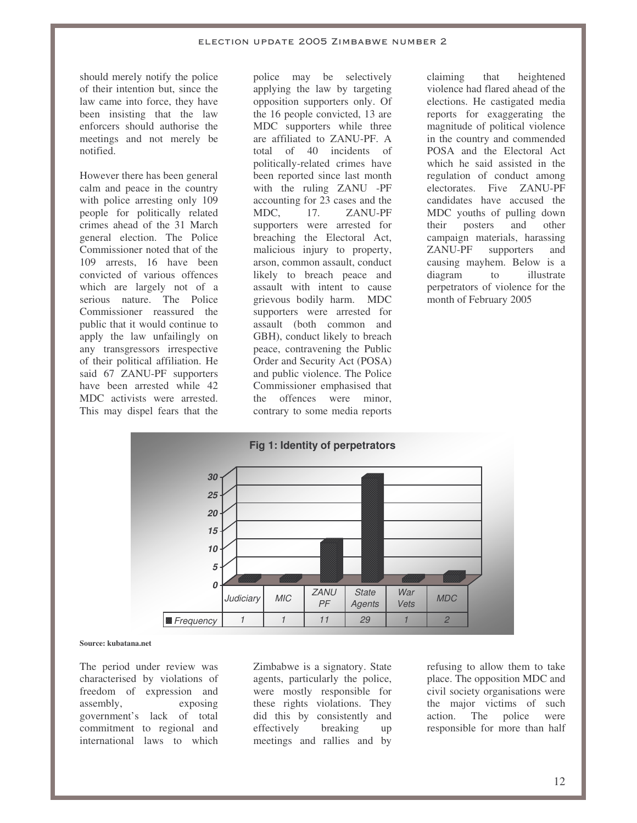should merely notify the police of their intention but, since the law came into force, they have been insisting that the law enforcers should authorise the meetings and not merely be notified.

However there has been general calm and peace in the country with police arresting only 109 people for politically related crimes ahead of the 31 March general election. The Police Commissioner noted that of the 109 arrests, 16 have been convicted of various offences which are largely not of a serious nature. The Police Commissioner reassured the public that it would continue to apply the law unfailingly on any transgressors irrespective of their political affiliation. He said 67 ZANU-PF supporters have been arrested while 42 MDC activists were arrested. This may dispel fears that the police may be selectively applying the law by targeting opposition supporters only. Of the 16 people convicted, 13 are MDC supporters while three are affiliated to ZANU-PF. A total of 40 incidents of politically-related crimes have been reported since last month with the ruling ZANU -PF accounting for 23 cases and the MDC, 17. ZANU-PF supporters were arrested for breaching the Electoral Act, malicious injury to property, arson, common assault, conduct likely to breach peace and assault with intent to cause grievous bodily harm. MDC supporters were arrested for assault (both common and GBH), conduct likely to breach peace, contravening the Public Order and Security Act (POSA) and public violence. The Police Commissioner emphasised that the offences were minor, contrary to some media reports

claiming that heightened violence had flared ahead of the elections. He castigated media reports for exaggerating the magnitude of political violence in the country and commended POSA and the Electoral Act which he said assisted in the regulation of conduct among electorates. Five ZANU-PF candidates have accused the MDC youths of pulling down their posters and other campaign materials, harassing ZANU-PF supporters and causing mayhem. Below is a diagram to illustrate perpetrators of violence for the month of February 2005



#### **Source: kubatana.net**

The period under review was characterised by violations of freedom of expression and assembly, exposing government's lack of total commitment to regional and international laws to which Zimbabwe is a signatory. State agents, particularly the police, were mostly responsible for these rights violations. They did this by consistently and effectively breaking up meetings and rallies and by

refusing to allow them to take place. The opposition MDC and civil society organisations were the major victims of such action. The police were responsible for more than half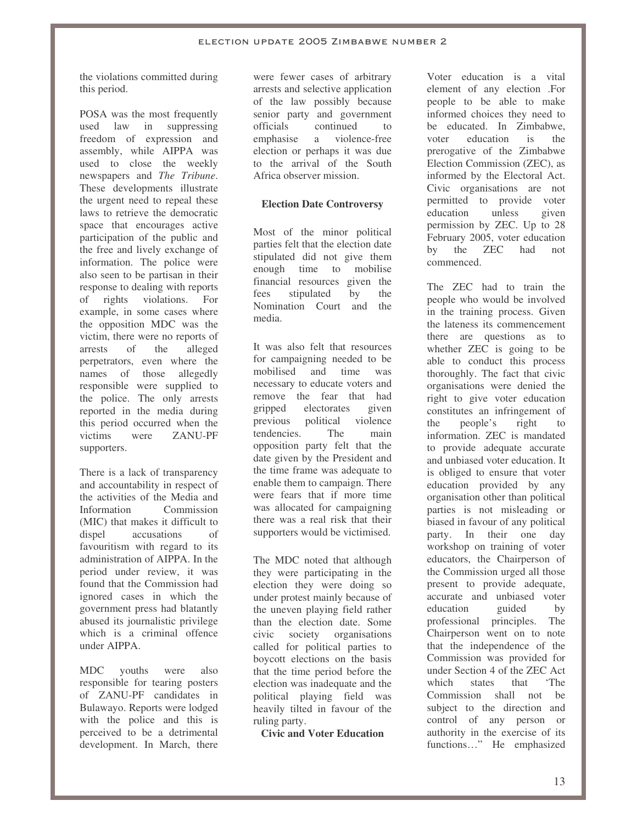the violations committed during this period.

POSA was the most frequently used law in suppressing freedom of expression and assembly, while AIPPA was used to close the weekly newspapers and *The Tribune*. These developments illustrate the urgent need to repeal these laws to retrieve the democratic space that encourages active participation of the public and the free and lively exchange of information. The police were also seen to be partisan in their response to dealing with reports of rights violations. For example, in some cases where the opposition MDC was the victim, there were no reports of arrests of the alleged perpetrators, even where the names of those allegedly responsible were supplied to the police. The only arrests reported in the media during this period occurred when the victims were ZANU-PF supporters.

There is a lack of transparency and accountability in respect of the activities of the Media and<br>Information Commission **Information** (MIC) that makes it difficult to dispel accusations of favouritism with regard to its administration of AIPPA. In the period under review, it was found that the Commission had ignored cases in which the government press had blatantly abused its journalistic privilege which is a criminal offence under AIPPA.

MDC youths were also responsible for tearing posters of ZANU-PF candidates in Bulawayo. Reports were lodged with the police and this is perceived to be a detrimental development. In March, there were fewer cases of arbitrary arrests and selective application of the law possibly because senior party and government officials continued to emphasise a violence-free election or perhaps it was due to the arrival of the South Africa observer mission.

## **Election Date Controversy**

Most of the minor political parties felt that the election date stipulated did not give them enough time to mobilise financial resources given the fees stipulated by the Nomination Court and the media.

It was also felt that resources for campaigning needed to be mobilised and time was necessary to educate voters and remove the fear that had gripped electorates given previous political violence tendencies. The main opposition party felt that the date given by the President and the time frame was adequate to enable them to campaign. There were fears that if more time was allocated for campaigning there was a real risk that their supporters would be victimised.

The MDC noted that although they were participating in the election they were doing so under protest mainly because of the uneven playing field rather than the election date. Some civic society organisations called for political parties to boycott elections on the basis that the time period before the election was inadequate and the political playing field was heavily tilted in favour of the ruling party.

**Civic and Voter Education**

Voter education is a vital element of any election .For people to be able to make informed choices they need to be educated. In Zimbabwe, voter education is the prerogative of the Zimbabwe Election Commission (ZEC), as informed by the Electoral Act. Civic organisations are not permitted to provide voter education unless given permission by ZEC. Up to 28 February 2005, voter education by the ZEC had not commenced.

The ZEC had to train the people who would be involved in the training process. Given the lateness its commencement there are questions as to whether ZEC is going to be able to conduct this process thoroughly. The fact that civic organisations were denied the right to give voter education constitutes an infringement of the people's right to information. ZEC is mandated to provide adequate accurate and unbiased voter education. It is obliged to ensure that voter education provided by any organisation other than political parties is not misleading or biased in favour of any political party. In their one day workshop on training of voter educators, the Chairperson of the Commission urged all those present to provide adequate, accurate and unbiased voter education guided by professional principles. The Chairperson went on to note that the independence of the Commission was provided for under Section 4 of the ZEC Act which states that 'The Commission shall not be subject to the direction and control of any person or authority in the exercise of its functions…" He emphasized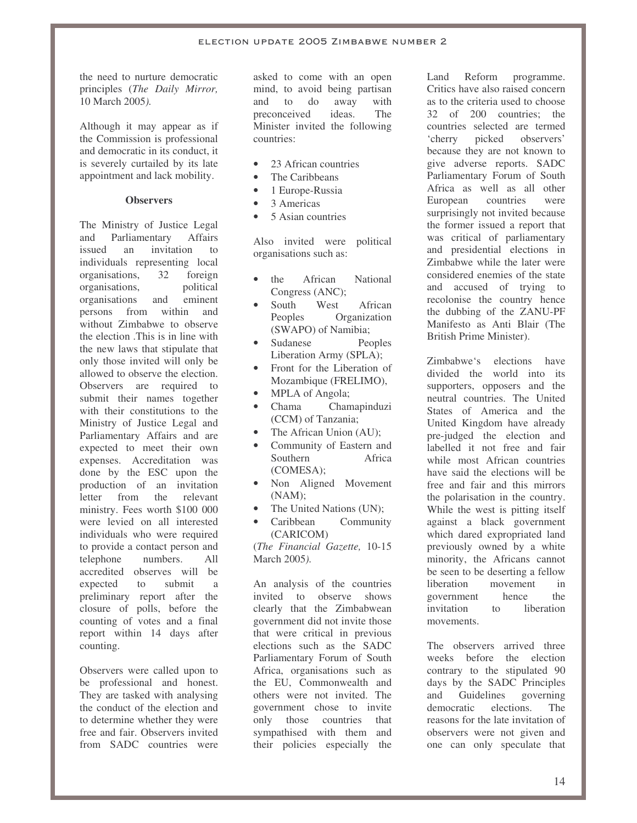the need to nurture democratic principles (*The Daily Mirror,* 10 March 2005*).*

Although it may appear as if the Commission is professional and democratic in its conduct, it is severely curtailed by its late appointment and lack mobility.

## **Observers**

The Ministry of Justice Legal and Parliamentary Affairs issued an invitation to individuals representing local organisations, 32 foreign organisations, political organisations and eminent persons from within and without Zimbabwe to observe the election .This is in line with the new laws that stipulate that only those invited will only be allowed to observe the election. Observers are required to submit their names together with their constitutions to the Ministry of Justice Legal and Parliamentary Affairs and are expected to meet their own expenses. Accreditation was done by the ESC upon the production of an invitation letter from the relevant ministry. Fees worth \$100 000 were levied on all interested individuals who were required to provide a contact person and telephone numbers. All accredited observes will be expected to submit a preliminary report after the closure of polls, before the counting of votes and a final report within 14 days after counting.

Observers were called upon to be professional and honest. They are tasked with analysing the conduct of the election and to determine whether they were free and fair. Observers invited from SADC countries were

asked to come with an open mind, to avoid being partisan and to do away with<br>preconceived ideas. The preconceived ideas. Minister invited the following countries:

- 23 African countries
- The Caribbeans
- 1 Europe-Russia
- 3 Americas
- 5 Asian countries

Also invited were political organisations such as:

- the African National Congress (ANC);
- South West African Peoples Organization (SWAPO) of Namibia;
- Sudanese Peoples Liberation Army (SPLA);
- Front for the Liberation of Mozambique (FRELIMO),
- MPLA of Angola;
- Chama<sub>c</sub> Chamapinduzi (CCM) of Tanzania;
- The African Union (AU);
- Community of Eastern and Southern Africa (COMESA);
- Non Aligned Movement (NAM);
- The United Nations (UN);
- Caribbean Community (CARICOM)

(*The Financial Gazette,* 10-15 March 2005*).*

An analysis of the countries invited to observe shows clearly that the Zimbabwean government did not invite those that were critical in previous elections such as the SADC Parliamentary Forum of South Africa, organisations such as the EU, Commonwealth and others were not invited. The government chose to invite only those countries that sympathised with them and their policies especially the Land Reform programme. Critics have also raised concern as to the criteria used to choose 32 of 200 countries; the countries selected are termed 'cherry picked observers' because they are not known to give adverse reports. SADC Parliamentary Forum of South Africa as well as all other European countries were surprisingly not invited because the former issued a report that was critical of parliamentary and presidential elections in Zimbabwe while the later were considered enemies of the state and accused of trying to recolonise the country hence the dubbing of the ZANU-PF Manifesto as Anti Blair (The British Prime Minister).

Zimbabwe's elections have divided the world into its supporters, opposers and the neutral countries. The United States of America and the United Kingdom have already pre-judged the election and labelled it not free and fair while most African countries have said the elections will be free and fair and this mirrors the polarisation in the country. While the west is pitting itself against a black government which dared expropriated land previously owned by a white minority, the Africans cannot be seen to be deserting a fellow liberation movement in government hence the invitation to liberation movements.

The observers arrived three weeks before the election contrary to the stipulated 90 days by the SADC Principles and Guidelines governing democratic elections. The reasons for the late invitation of observers were not given and one can only speculate that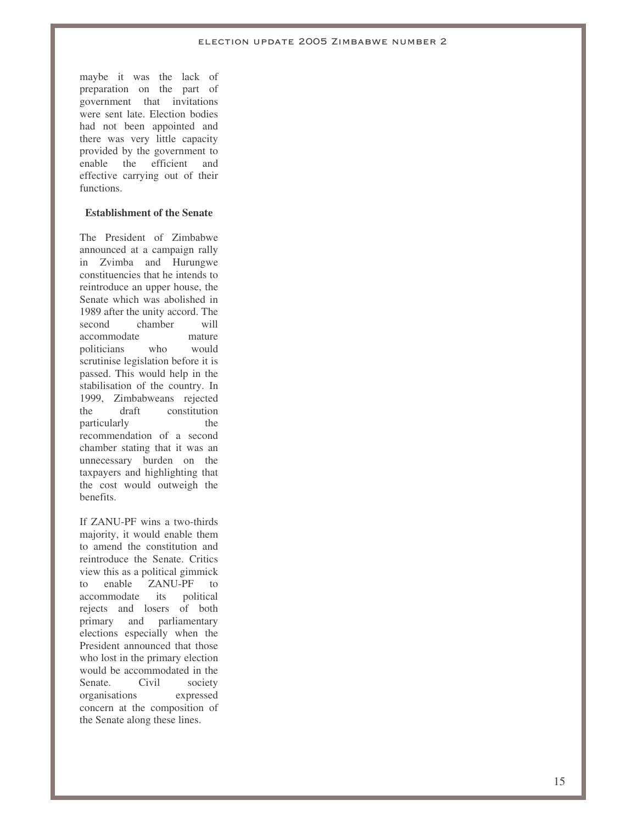maybe it was the lack of preparation on the part of government that invitations were sent late. Election bodies had not been appointed and there was very little capacity provided by the government to enable the efficient and effective carrying out of their functions.

## **Establishment of the Senate**

The President of Zimbabwe announced at a campaign rally in Zvimba and Hurungwe constituencies that he intends to reintroduce an upper house, the Senate which was abolished in 1989 after the unity accord. The second chamber will accommodate mature politicians who would scrutinise legislation before it is passed. This would help in the stabilisation of the country. In 1999, Zimbabweans rejected the draft constitution particularly the recommendation of a second chamber stating that it was an unnecessary burden on the taxpayers and highlighting that the cost would outweigh the benefits.

If ZANU-PF wins a two-thirds majority, it would enable them to amend the constitution and reintroduce the Senate. Critics view this as a political gimmick to enable ZANU-PF to<br>accommodate its political accommodate its rejects and losers of both primary and parliamentary elections especially when the President announced that those who lost in the primary election would be accommodated in the Senate. Civil society organisations expressed concern at the composition of the Senate along these lines.